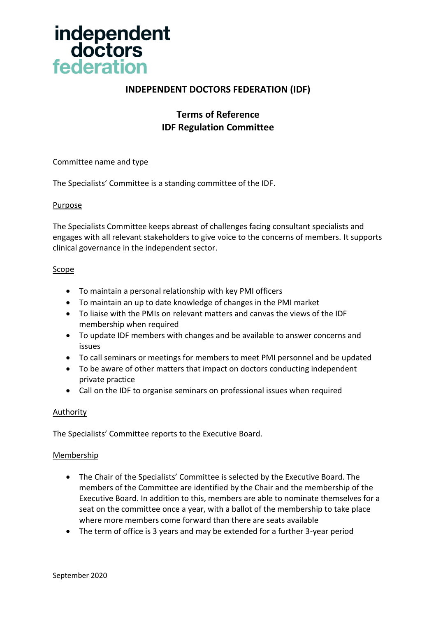

# **INDEPENDENT DOCTORS FEDERATION (IDF)**

# **Terms of Reference IDF Regulation Committee**

## Committee name and type

The Specialists' Committee is a standing committee of the IDF.

#### Purpose

The Specialists Committee keeps abreast of challenges facing consultant specialists and engages with all relevant stakeholders to give voice to the concerns of members. It supports clinical governance in the independent sector.

## Scope

- To maintain a personal relationship with key PMI officers
- To maintain an up to date knowledge of changes in the PMI market
- To liaise with the PMIs on relevant matters and canvas the views of the IDF membership when required
- To update IDF members with changes and be available to answer concerns and issues
- To call seminars or meetings for members to meet PMI personnel and be updated
- To be aware of other matters that impact on doctors conducting independent private practice
- Call on the IDF to organise seminars on professional issues when required

#### **Authority**

The Specialists' Committee reports to the Executive Board.

#### Membership

- The Chair of the Specialists' Committee is selected by the Executive Board. The members of the Committee are identified by the Chair and the membership of the Executive Board. In addition to this, members are able to nominate themselves for a seat on the committee once a year, with a ballot of the membership to take place where more members come forward than there are seats available
- The term of office is 3 years and may be extended for a further 3-year period